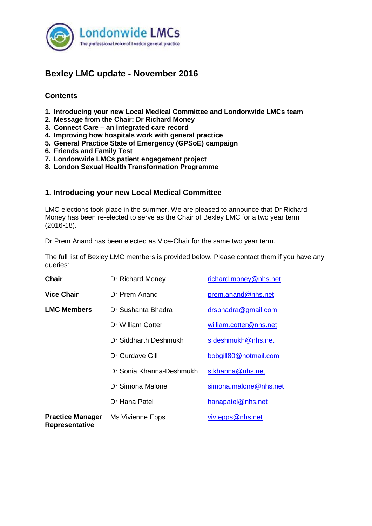

# **Bexley LMC update - November 2016**

# **Contents**

- **1. Introducing your new Local Medical Committee and Londonwide LMCs team**
- **2. Message from the Chair: Dr Richard Money**
- **3. Connect Care – an integrated care record**
- **4. Improving how hospitals work with general practice**
- **5. General Practice State of Emergency (GPSoE) campaign**
- **6. Friends and Family Test**
- **7. Londonwide LMCs patient engagement project**
- **8. London Sexual Health Transformation Programme**

# **1. Introducing your new Local Medical Committee**

LMC elections took place in the summer. We are pleased to announce that Dr Richard Money has been re-elected to serve as the Chair of Bexley LMC for a two year term (2016-18).

Dr Prem Anand has been elected as Vice-Chair for the same two year term.

The full list of Bexley LMC members is provided below. Please contact them if you have any queries:

| Chair                                     | Dr Richard Money         | richard.money@nhs.net  |
|-------------------------------------------|--------------------------|------------------------|
| <b>Vice Chair</b>                         | Dr Prem Anand            | prem.anand@nhs.net     |
| <b>LMC Members</b>                        | Dr Sushanta Bhadra       | drsbhadra@gmail.com    |
|                                           | Dr William Cotter        | william.cotter@nhs.net |
|                                           | Dr Siddharth Deshmukh    | s.deshmukh@nhs.net     |
|                                           | Dr Gurdave Gill          | bobgill80@hotmail.com  |
|                                           | Dr Sonia Khanna-Deshmukh | s.khanna@nhs.net       |
|                                           | Dr Simona Malone         | simona.malone@nhs.net  |
|                                           | Dr Hana Patel            | hanapatel@nhs.net      |
| <b>Practice Manager</b><br>Representative | Ms Vivienne Epps         | viv.epps@nhs.net       |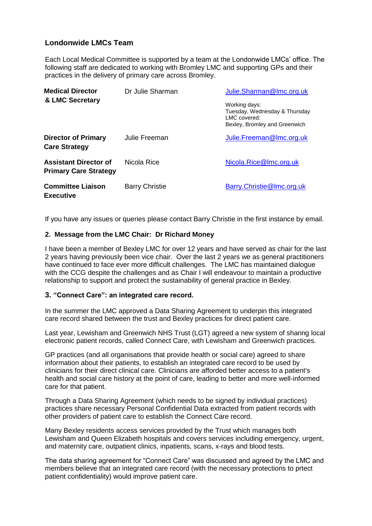# **Londonwide LMCs Team**

Each Local Medical Committee is supported by a team at the Londonwide LMCs' office. The following staff are dedicated to working with Bromley LMC and supporting GPs and their practices in the delivery of primary care across Bromley.

| <b>Medical Director</b><br>& LMC Secretary                   | Dr Julie Sharman      | Julie.Sharman@Imc.org.uk                                                                        |
|--------------------------------------------------------------|-----------------------|-------------------------------------------------------------------------------------------------|
|                                                              |                       | Working days:<br>Tuesday, Wednesday & Thursday<br>LMC covered:<br>Bexley, Bromley and Greenwich |
| <b>Director of Primary</b><br><b>Care Strategy</b>           | Julie Freeman         | Julie.Freeman@Imc.org.uk                                                                        |
| <b>Assistant Director of</b><br><b>Primary Care Strategy</b> | Nicola Rice           | Nicola.Rice@Imc.org.uk                                                                          |
| <b>Committee Liaison</b><br><b>Executive</b>                 | <b>Barry Christie</b> | Barry.Christie@Imc.org.uk                                                                       |

If you have any issues or queries please contact Barry Christie in the first instance by email.

#### **2. Message from the LMC Chair: Dr Richard Money**

I have been a member of Bexley LMC for over 12 years and have served as chair for the last 2 years having previously been vice chair. Over the last 2 years we as general practitioners have continued to face ever more difficult challenges. The LMC has maintained dialogue with the CCG despite the challenges and as Chair I will endeavour to maintain a productive relationship to support and protect the sustainability of general practice in Bexley.

#### **3. "Connect Care": an integrated care record.**

In the summer the LMC approved a Data Sharing Agreement to underpin this integrated care record shared between the trust and Bexley practices for direct patient care.

Last year, Lewisham and Greenwich NHS Trust (LGT) agreed a new system of sharing local electronic patient records, called Connect Care, with Lewisham and Greenwich practices.

GP practices (and all organisations that provide health or social care) agreed to share information about their patients, to establish an integrated care record to be used by clinicians for their direct clinical care. Clinicians are afforded better access to a patient's health and social care history at the point of care, leading to better and more well-informed care for that patient.

Through a Data Sharing Agreement (which needs to be signed by individual practices) practices share necessary Personal Confidential Data extracted from patient records with other providers of patient care to establish the Connect Care record.

Many Bexley residents access services provided by the Trust which manages both Lewisham and Queen Elizabeth hospitals and covers services including emergency, urgent, and maternity care, outpatient clinics, inpatients, scans, x-rays and blood tests.

The data sharing agreement for "Connect Care" was discussed and agreed by the LMC and members believe that an integrated care record (with the necessary protections to prtect patient confidentiality) would improve patient care.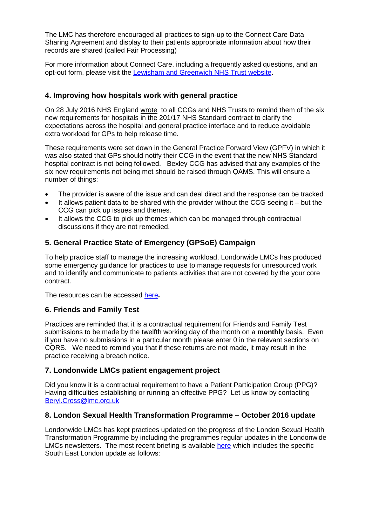The LMC has therefore encouraged all practices to sign-up to the Connect Care Data Sharing Agreement and display to their patients appropriate information about how their records are shared (called Fair Processing)

For more information about Connect Care, including a frequently asked questions, and an opt-out form, please visit the [Lewisham and Greenwich NHS Trust website.](http://www.lewishamandgreenwich.nhs.uk/connectcare)

# **4. Improving how hospitals work with general practice**

On 28 July 2016 NHS England [wrote](https://www.england.nhs.uk/wp-content/uploads/2016/07/letter-contract-requirements.pdf) to all CCGs and NHS Trusts to remind them of the six new requirements for hospitals in the 201/17 NHS Standard contract to clarify the expectations across the hospital and general practice interface and to reduce avoidable extra workload for GPs to help release time.

These requirements were set down in the General Practice Forward View (GPFV) in which it was also stated that GPs should notify their CCG in the event that the new NHS Standard hospital contract is not being followed. Bexley CCG has advised that any examples of the six new requirements not being met should be raised through QAMS. This will ensure a number of things:

- The provider is aware of the issue and can deal direct and the response can be tracked
- It allows patient data to be shared with the provider without the CCG seeing it but the CCG can pick up issues and themes.
- It allows the CCG to pick up themes which can be managed through contractual discussions if they are not remedied.

# **5. General Practice State of Emergency (GPSoE) Campaign**

To help practice staff to manage the increasing workload, Londonwide LMCs has produced some emergency guidance for practices to use to manage requests for unresourced work and to identify and communicate to patients activities that are not covered by the your core contract.

The resources can be accessed [here](http://gpsoe.org.uk/gpsoe/)**.**

# **6. Friends and Family Test**

Practices are reminded that it is a contractual requirement for Friends and Family Test submissions to be made by the twelfth working day of the month on a **monthly** basis. Even if you have no submissions in a particular month please enter 0 in the relevant sections on CQRS. We need to remind you that if these returns are not made, it may result in the practice receiving a breach notice.

# **7. Londonwide LMCs patient engagement project**

Did you know it is a contractual requirement to have a Patient Participation Group (PPG)? Having difficulties establishing or running an effective PPG? Let us know by contacting [Beryl.Cross@lmc.org.uk](mailto:Beryl.Cross@lmc.org.uk)

# **8. London Sexual Health Transformation Programme – October 2016 update**

Londonwide LMCs has kept practices updated on the progress of the London Sexual Health Transformation Programme by including the programmes regular updates in the Londonwide LMCs newsletters. The most recent briefing is available [here](http://www.lmc.org.uk/visageimages/newsletters/Londonwide/161019-LSHTP-October-Briefing.pdf) which includes the specific South East London update as follows: